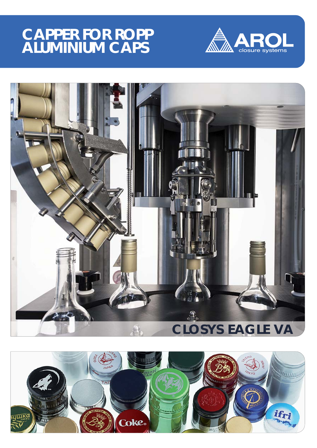## **CAPPER FOR ROPP ALUMINIUM CAPS**





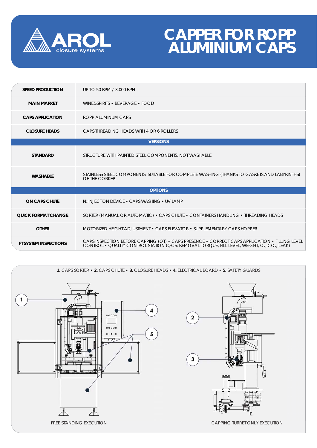

## **CAPPER FOR ROPP ALUMINIUM CAPS**

| <b>SPEED PRODUCTION</b>      | UP TO 50 BPM / 3.000 BPH                                                                                                                                                                  |
|------------------------------|-------------------------------------------------------------------------------------------------------------------------------------------------------------------------------------------|
| <b>MAIN MARKET</b>           | WINE&SPIRITS • BEVERAGE • FOOD                                                                                                                                                            |
| <b>CAPS APPLICATION</b>      | ROPP ALUMINUM CAPS                                                                                                                                                                        |
| <b>CLOSURE HEADS</b>         | CAPS THREADING HEADS WITH 4 OR 6 ROLLERS                                                                                                                                                  |
| <b>VERSIONS</b>              |                                                                                                                                                                                           |
| <b>STANDARD</b>              | STRUCTURE WITH PAINTED STEEL COMPONENTS. NOT WASHABLE                                                                                                                                     |
| <b>WASHABLE</b>              | STAINLESS STEEL COMPONENTS. SUITABLE FOR COMPLETE WASHING (THANKS TO GASKETS AND LABYRINTHS)<br>OF THE CORKER                                                                             |
| <b>OPTIONS</b>               |                                                                                                                                                                                           |
| <b>ON CAPS CHUTE</b>         | N <sub>2</sub> INJECTION DEVICE . CAPS WASHING . UV LAMP                                                                                                                                  |
| <b>QUICK FORMAT CHANGE</b>   | SORTER (MANUAL OR AUTOMATIC) • CAPS CHUTE • CONTAINERS HANDLING • THREADING HEADS                                                                                                         |
| <b>OTHER</b>                 | MOTORIZED HEIGHT ADJUSTMENT • CAPS ELEVATOR • SUPPLEMENTARY CAPS HOPPER                                                                                                                   |
| <b>FT SYSTEM INSPECTIONS</b> | CAPS INSPECTION BEFORE CAPPING (QT) • CAPS PRESENCE • CORRECT CAPS APPLICATION • FILLING LEVEL CONTROL • QUALITY CONTROL STATION (QCS: REMOVAL TORQUE, FILL LEVEL, WEIGHT, O2, CO2, LEAK) |

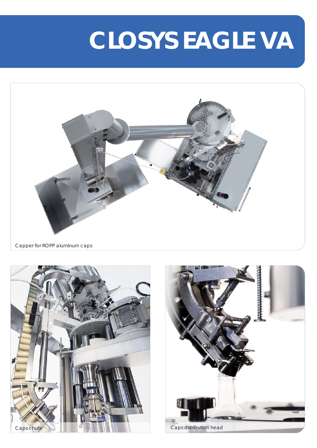# **CLOSYS EAGLE VA**